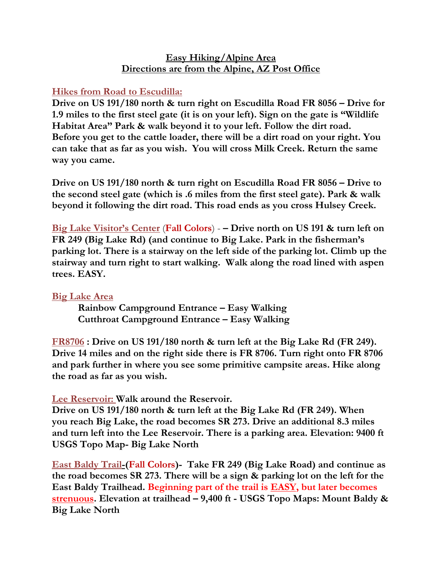# **Easy Hiking/Alpine Area Directions are from the Alpine, AZ Post Office**

## **Hikes from Road to Escudilla:**

**Drive on US 191/180 north & turn right on Escudilla Road FR 8056 – Drive for 1.9 miles to the first steel gate (it is on your left). Sign on the gate is "Wildlife Habitat Area" Park & walk beyond it to your left. Follow the dirt road. Before you get to the cattle loader, there will be a dirt road on your right. You can take that as far as you wish. You will cross Milk Creek. Return the same way you came.**

**Drive on US 191/180 north & turn right on Escudilla Road FR 8056 – Drive to the second steel gate (which is .6 miles from the first steel gate). Park & walk beyond it following the dirt road. This road ends as you cross Hulsey Creek.**

**Big Lake Visitor's Center** (**Fall Colors**) - **– Drive north on US 191 & turn left on FR 249 (Big Lake Rd) (and continue to Big Lake. Park in the fisherman's parking lot. There is a stairway on the left side of the parking lot. Climb up the stairway and turn right to start walking. Walk along the road lined with aspen trees. EASY.**

# **Big Lake Area**

**Rainbow Campground Entrance – Easy Walking Cutthroat Campground Entrance – Easy Walking**

**FR8706 : Drive on US 191/180 north & turn left at the Big Lake Rd (FR 249). Drive 14 miles and on the right side there is FR 8706. Turn right onto FR 8706 and park further in where you see some primitive campsite areas. Hike along the road as far as you wish.**

### **Lee Reservoir: Walk around the Reservoir.**

**Drive on US 191/180 north & turn left at the Big Lake Rd (FR 249). When you reach Big Lake, the road becomes SR 273. Drive an additional 8.3 miles and turn left into the Lee Reservoir. There is a parking area. Elevation: 9400 ft USGS Topo Map- Big Lake North**

**East Baldy Trail-(Fall Colors)- Take FR 249 (Big Lake Road) and continue as the road becomes SR 273. There will be a sign & parking lot on the left for the East Baldy Trailhead. Beginning part of the trail is EASY, but later becomes strenuous. Elevation at trailhead – 9,400 ft - USGS Topo Maps: Mount Baldy & Big Lake North**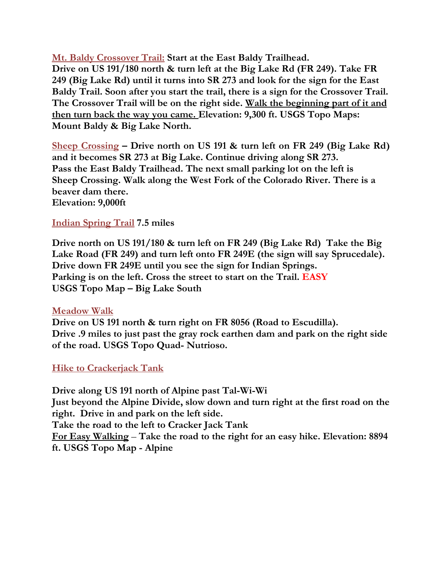**Mt. Baldy Crossover Trail: Start at the East Baldy Trailhead. Drive on US 191/180 north & turn left at the Big Lake Rd (FR 249). Take FR 249 (Big Lake Rd) until it turns into SR 273 and look for the sign for the East Baldy Trail. Soon after you start the trail, there is a sign for the Crossover Trail. The Crossover Trail will be on the right side. Walk the beginning part of it and then turn back the way you came. Elevation: 9,300 ft. USGS Topo Maps: Mount Baldy & Big Lake North.**

**Sheep Crossing – Drive north on US 191 & turn left on FR 249 (Big Lake Rd) and it becomes SR 273 at Big Lake. Continue driving along SR 273. Pass the East Baldy Trailhead. The next small parking lot on the left is Sheep Crossing. Walk along the West Fork of the Colorado River. There is a beaver dam there. Elevation: 9,000ft**

### **Indian Spring Trail 7.5 miles**

**Drive north on US 191/180 & turn left on FR 249 (Big Lake Rd) Take the Big Lake Road (FR 249) and turn left onto FR 249E (the sign will say Sprucedale). Drive down FR 249E until you see the sign for Indian Springs. Parking is on the left. Cross the street to start on the Trail. EASY USGS Topo Map – Big Lake South**

### **Meadow Walk**

**Drive on US 191 north & turn right on FR 8056 (Road to Escudilla). Drive .9 miles to just past the gray rock earthen dam and park on the right side of the road. USGS Topo Quad- Nutrioso.**

### **Hike to Crackerjack Tank**

**Drive along US 191 north of Alpine past Tal-Wi-Wi Just beyond the Alpine Divide, slow down and turn right at the first road on the right. Drive in and park on the left side. Take the road to the left to Cracker Jack Tank For Easy Walking** – **Take the road to the right for an easy hike. Elevation: 8894 ft. USGS Topo Map - Alpine**